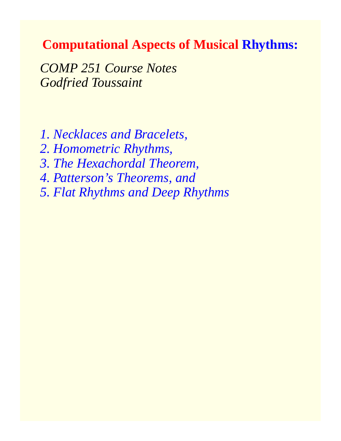### **Computational Aspects of Musical Rhythms:**

*COMP 251 Course Notes Godfried Toussaint*

*1. Necklaces and Bracelets,*

*2. Homometric Rhythms,*

*3. The Hexachordal Theorem,*

*4. Patterson's Theorems, and*

*5. Flat Rhythms and Deep Rhythms*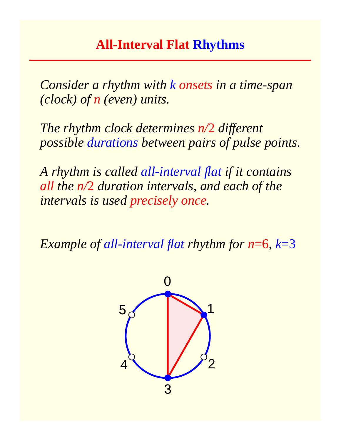## **All-Interval Flat Rhythms**

*Consider a rhythm with k onsets in a time-span (clock) of n (even) units.*

*The rhythm clock determines n/*2 *different possible durations between pairs of pulse points.*

*A rhythm is called all-interval flat if it contains all the n/*2 *duration intervals, and each of the intervals is used precisely once.*

*Example of all-interval flat rhythm for n*=6, *k*=3

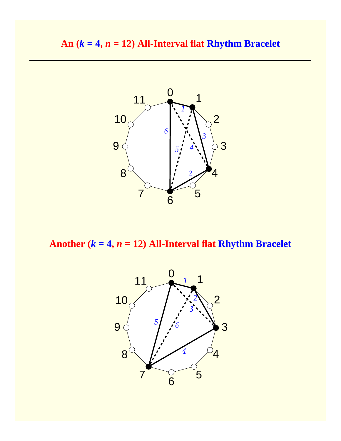

Another  $(k = 4, n = 12)$  All-Interval flat **Rhythm Bracelet** 

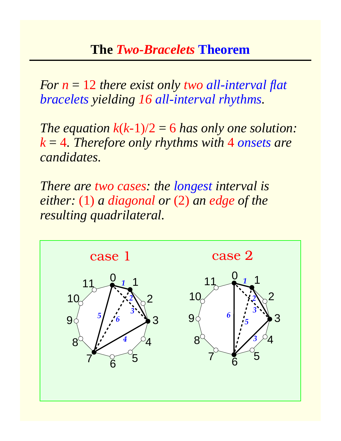## **The** *Two-Bracelets* **Theorem**

*For n* = 12 *there exist only two all-interval flat bracelets yielding 16 all-interval rhythms.*

*The equation*  $k(k-1)/2 = 6$  *has only one solution: k* = 4*. Therefore only rhythms with* 4 *onsets are candidates.*

*There are two cases: the longest interval is either:* (1) *a diagonal or* (2) *an edge of the resulting quadrilateral.*

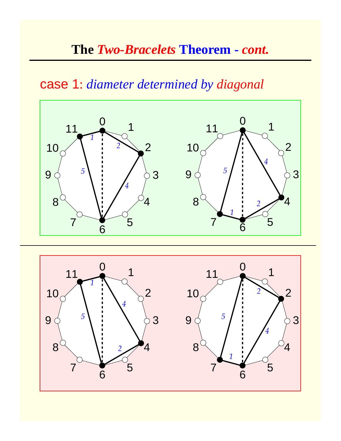# **The** *Two-Bracelets* **Theorem -** *cont.*

## case 1: *diameter determined by diagonal*



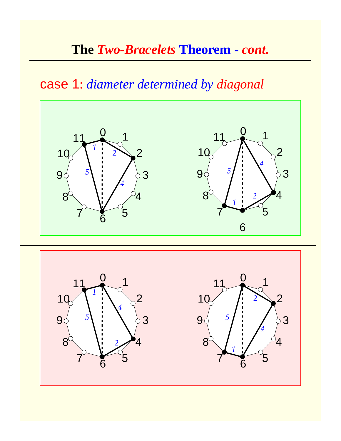# **The** *Two-Bracelets* **Theorem -** *cont.*

## case 1: *diameter determined by diagonal*



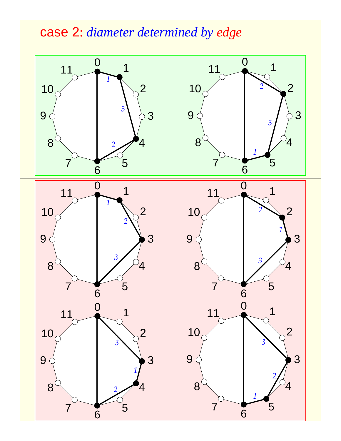# case 2: *diameter determined by edge*

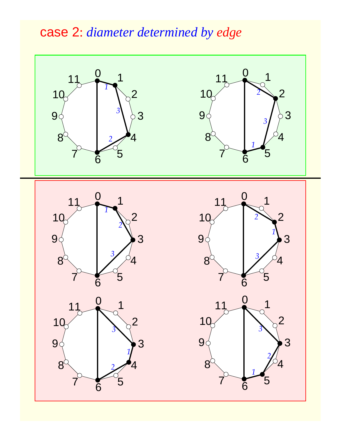# case 2: *diameter determined by edge*

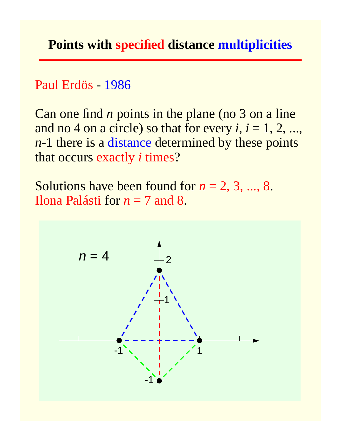Paul Erdös - 1986

Can one find *n* points in the plane (no 3 on a line and no 4 on a circle) so that for every  $i, i = 1, 2, ...,$ *n*-1 there is a distance determined by these points that occurs exactly *i* times?

Solutions have been found for  $n = 2, 3, ..., 8$ . Ilona Palásti for *n* = 7 and 8.

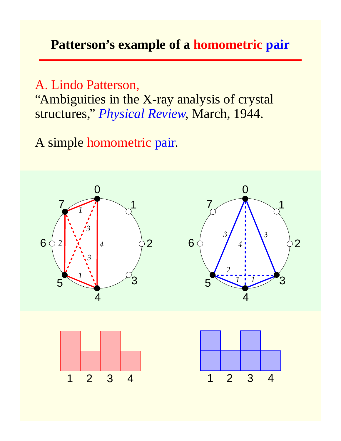## **Patterson's example of a homometric pair**

A. Lindo Patterson, "Ambiguities in the X-ray analysis of crystal structures," *Physical Review*, March, 1944.

A simple homometric pair.

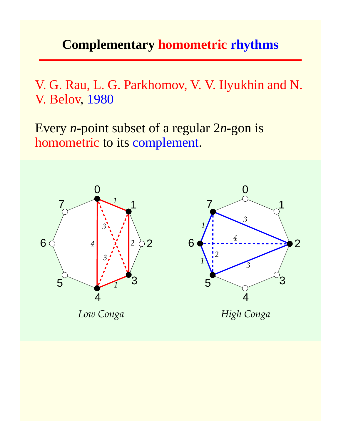## **Complementary homometric rhythms**

V. G. Rau, L. G. Parkhomov, V. V. Ilyukhin and N. V. Belov, 1980

Every *n*-point subset of a regular 2*n*-gon is homometric to its complement.

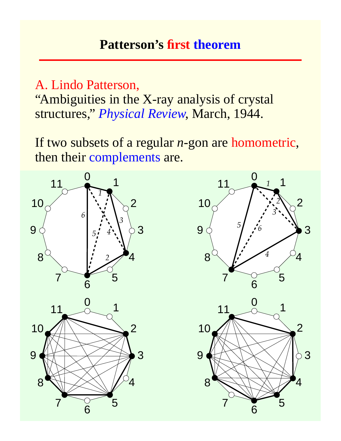## **Patterson's first theorem**

A. Lindo Patterson,

"Ambiguities in the X-ray analysis of crystal structures," *Physical Review*, March, 1944.

If two subsets of a regular *n*-gon are homometric, then their complements are.

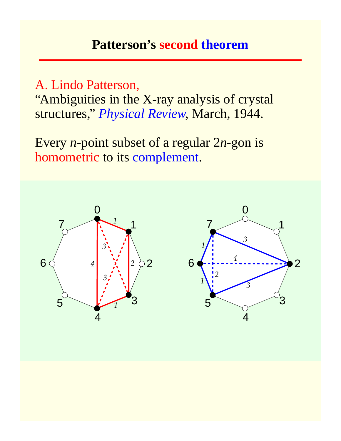### **Patterson's second theorem**

A. Lindo Patterson,

"Ambiguities in the X-ray analysis of crystal structures," *Physical Review*, March, 1944.

Every *n*-point subset of a regular 2*n*-gon is homometric to its complement.

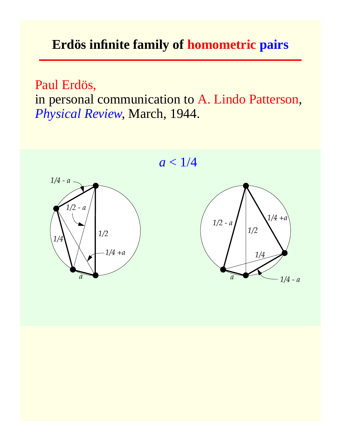## **Erdös infinite family of homometric pairs**

Paul Erdös, in personal communication to A. Lindo Patterson, *Physical Review*, March, 1944.

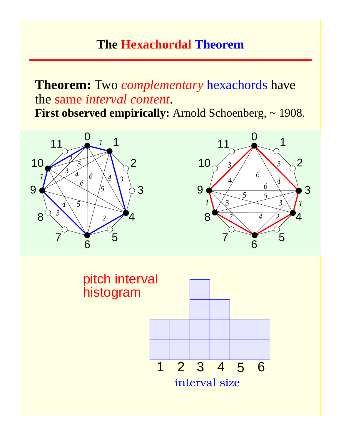## **The Hexachordal Theorem**

# **Theorem:** Two *complementary* hexachords have the same *interval content*.

**First observed empirically:** Arnold Schoenberg, ~ 1908.





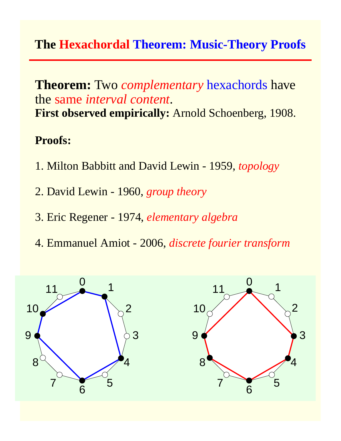## **The Hexachordal Theorem: Music-Theory Proofs**

### **Theorem:** Two *complementary* hexachords have the same *interval content*. **First observed empirically:** Arnold Schoenberg, 1908.

### **Proofs:**

- 1. Milton Babbitt and David Lewin 1959, *topology*
- 2. David Lewin 1960, *group theory*
- 3. Eric Regener 1974, *elementary algebra*
- 4. Emmanuel Amiot 2006, *discrete fourier transform*

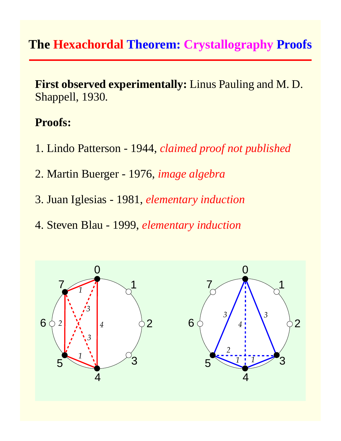## **The Hexachordal Theorem: Crystallography Proofs**

**First observed experimentally:** Linus Pauling and M. D. Shappell, 1930.

#### **Proofs:**

- 1. Lindo Patterson 1944, *claimed proof not published*
- 2. Martin Buerger 1976, *image algebra*
- 3. Juan Iglesias 1981, *elementary induction*
- 4. Steven Blau 1999, *elementary induction*

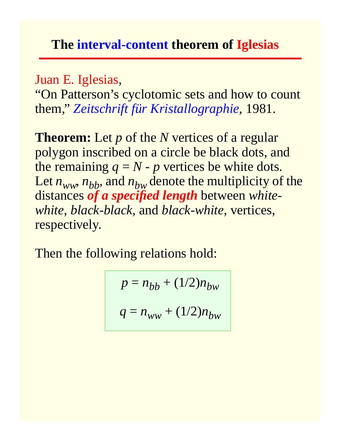## **The interval-content theorem of Iglesias**

Juan E. Iglesias,

"On Patterson's cyclotomic sets and how to count them," *Zeitschrift für Kristallographie*, 1981.

**Theorem:** Let *p* of the *N* vertices of a regular polygon inscribed on a circle be black dots, and the remaining  $q = N - p$  vertices be white dots. Let  $n_{ww}$ ,  $n_{bb}$ , and  $n_{bw}$  denote the multiplicity of the distances *of a specified length* between *whitewhite*, *black-black*, and *black-white*, vertices, respectively.

Then the following relations hold:

 $p = n_{bb} + (1/2)n_{bw}$  $q = n_{ww} + (1/2)n_{bw}$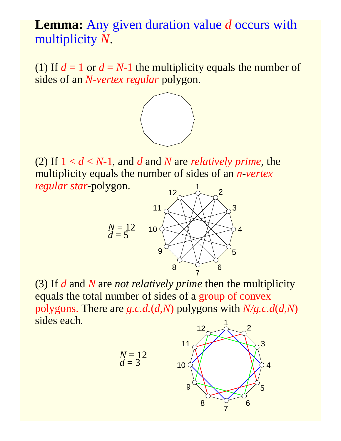## **Lemma:** Any given duration value *d* occurs with multiplicity *N*.

(1) If  $d = 1$  or  $d = N-1$  the multiplicity equals the number of sides of an *N-vertex regular* polygon.



(2) If  $1 < d < N-1$ , and *d* and *N* are *relatively prime*, the multiplicity equals the number of sides of an *n*-*vertex regular star*-polygon. 



(3) If *d* and *N* are *not relatively prime* then the multiplicity equals the total number of sides of a group of convex polygons. There are *g.c.d.*(*d,N*) polygons with *N/g.c.d*(*d,N*) sides each. 



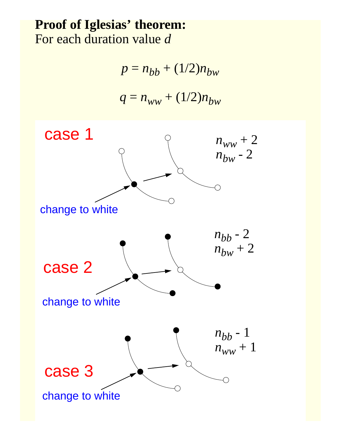## **Proof of Iglesias' theorem:** For each duration value *d*

 $p = n_{bb} + (1/2)n_{bw}$ 

$$
q = n_{ww} + (1/2)n_{bw}
$$

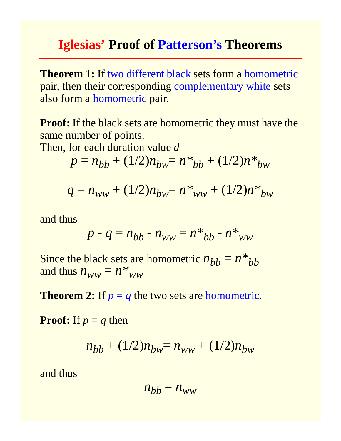### **Iglesias' Proof of Patterson's Theorems**

**Theorem 1:** If two different black sets form a homometric pair, then their corresponding complementary white sets also form a homometric pair.

**Proof:** If the black sets are homometric they must have the same number of points.

Then, for each duration value *d*

$$
p = n_{bb} + (1/2)n_{bw} = n *_{bb} + (1/2)n *_{bw}
$$

$$
q = n_{ww} + (1/2)n_{bw} = n_{ww} + (1/2)n_{bw} + (1/2)n_{ww}
$$

and thus

$$
p - q = n_{bb} - n_{ww} = n *_{bb} - n *_{ww}
$$

Since the black sets are homometric  $n_{bb} = n *_{bb}$ and thus  $n_{WW} = n *_{WW}$ 

**Theorem 2:** If  $p = q$  the two sets are homometric.

**Proof:** If  $p = q$  then

$$
n_{bb} + (1/2)n_{bw} = n_{ww} + (1/2)n_{bw}
$$

and thus

$$
n_{bb} = n_{ww}
$$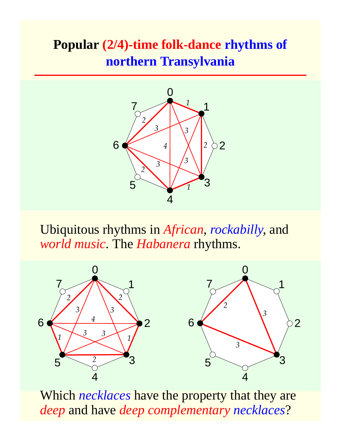# **Popular (2/4)-time folk-dance rhythms of northern Transylvania**



Ubiquitous rhythms in *African*, *rockabilly*, and *world music*. The *Habanera* rhythms.



Which *necklaces* have the property that they are *deep* and have *deep complementary necklaces*?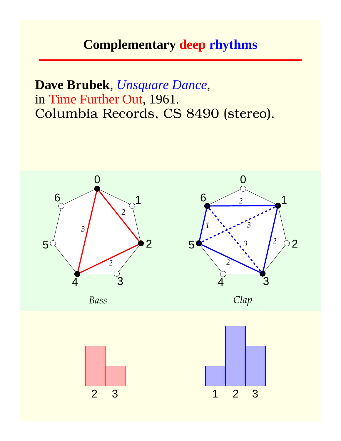## **Complementary deep rhythms**

**Dave Brubek**, *Unsquare Dance*, in Time Further Out, 1961. Columbia Records, CS 8490 (stereo).